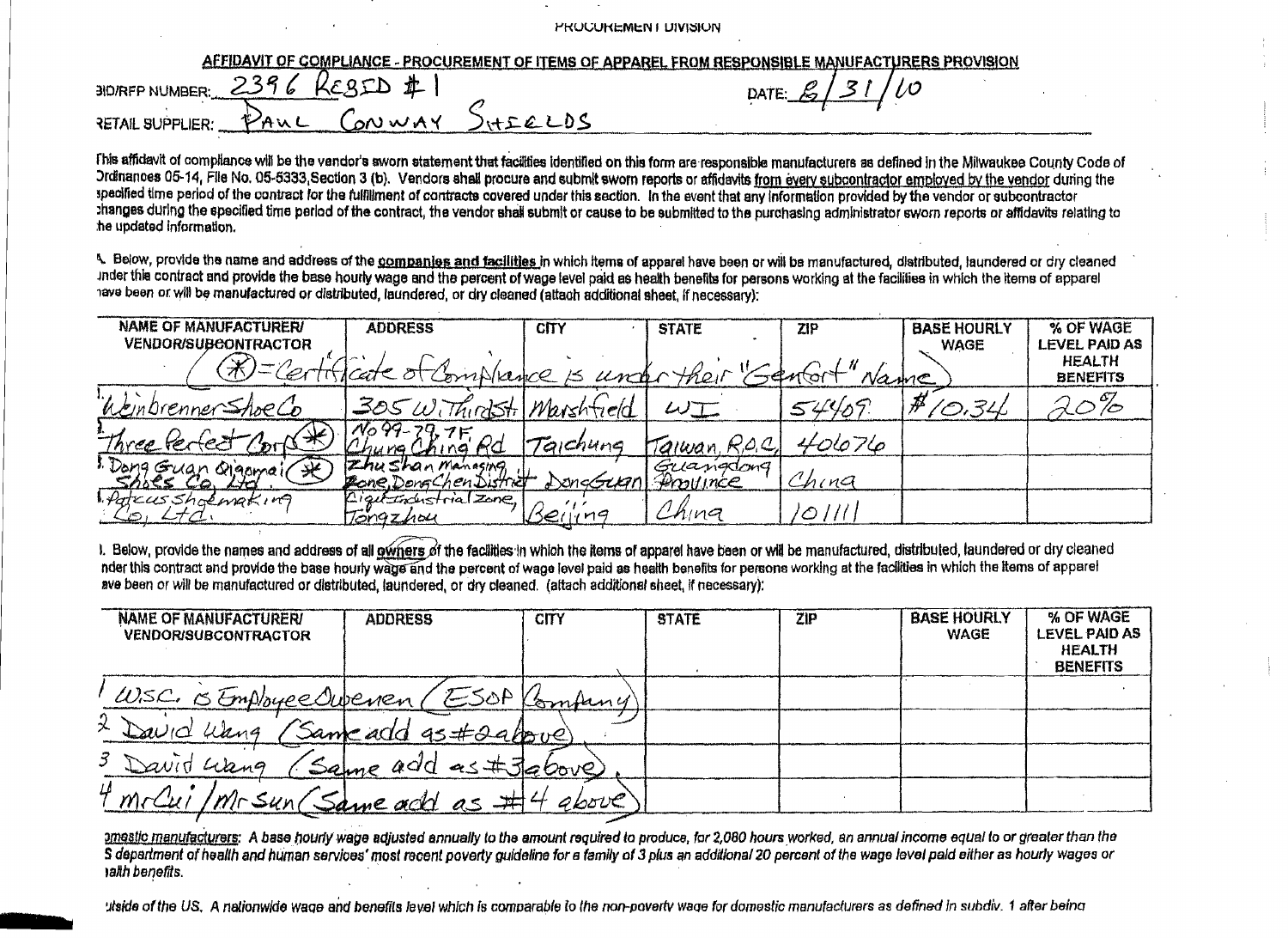|  |  |  |  |  |  | PROCUREMENT UIVISION |
|--|--|--|--|--|--|----------------------|
|--|--|--|--|--|--|----------------------|

| AFFIDAVIT OF COMPLIANCE - PROCUREMENT OF ITEMS OF APPAREL FROM RESPONSIBLE MANUFACTURERS PROVISION |                        |
|----------------------------------------------------------------------------------------------------|------------------------|
| $30$ /RFP NUMBER: $2396$<br>KERID I                                                                | DATE $\mathcal{L}/3$ , |
| $-$ CONWAY<br>FAUL<br><b>RETAIL SUPPLIER:</b>                                                      |                        |

This affidavit of compliance will be the vendor's aworn statement that facilities identified on this form are responsible manufacturers as defined in the Milwaukee County Code of Ordinances 05-14, File No. 05-5333 Section 3 (b). Vendors shall procure and submit sworn reports or affidavits from every subcontractor employed by the vendor during the specified time period of the contract for the fulfillment of contracts covered under this section. In the event that any information provided by the vendor or subcontractor thanges during the specified time period of the contract, the vendor shall submit or cause to be submitted to the purchasing administrator sworn reports or affidavits relating to he updated information.

4. Below, provide the name and address of the companies and facilities in which items of apparel have been or will be manufactured, distributed, laundered or dry cleaned inder this contract and provide the base hourly wage and the percent of wage level paid as health benefits for persons working at the facilities in which the items of apparel have been or will be manufactured or distributed, laundered, or dry cleaned (attach additional sheet, if necessary);

| <b>NAME OF MANUFACTURER/</b> | <b>ADDRESS</b>                                 | <b>CITY</b> | <b>STATE</b>          | ZIP   | <b>BASE HOURLY</b> | % OF WAGE                        |
|------------------------------|------------------------------------------------|-------------|-----------------------|-------|--------------------|----------------------------------|
| <b>VENDOR/SUBCONTRACTOR</b>  |                                                |             |                       |       | <b>WAGE</b>        | LEVEL PAID AS                    |
| (ボ)ニクィー                      | ficate of Compliance is unifor their "Gentert" |             |                       | Name  |                    | <b>HEALTH</b><br><b>BENEFITS</b> |
| "Weinbrenner Shoe Co         | 305 Withindstil Marshfield                     |             | $\omega$ T            | 54409 | 20.34              |                                  |
| Three Perfect                | $N_0$ 99-79,7F<br>King Rd                      | Taichung    | Taiwan, R.O.C.        | 40676 |                    |                                  |
| 1. Dong Guan Qigomai(<br>一米  | Zhu Shan Manasing<br>Zone DongChen District    | DongGum     | Guangdong<br>Province | China |                    |                                  |
| Patrus Shoemaking            | Lightendustrial Zone,<br>Tongzhou              | Berirng     | China                 | ⊘     |                    |                                  |

1. Below, provide the names and address of all owners of the facilities in which the items of apparel have been or will be manufactured, distributed, laundered or dry cleaned nder this contract and provide the base hourly wand and the percent of wage level paid as health benefits for persons working at the facilities in which the items of apparel ave been or will be manufactured or distributed, laundered, or dry cleaned. (attach additional sheet, if necessary):

| <b>NAME OF MANUFACTURERI</b><br><b>VENDOR/SUBCONTRACTOR</b> | <b>ADDRESS</b>         | <b>CITY</b> | <b>STATE</b> | ZIP | <b>BASE HOURLY</b><br><b>WAGE</b> | % OF WAGE<br>LEVEL PAID AS<br><b>HEALTH</b><br><b>BENEFITS</b> |
|-------------------------------------------------------------|------------------------|-------------|--------------|-----|-----------------------------------|----------------------------------------------------------------|
| W.S.C. SEmployee Owever (ESOP Kompany                       |                        |             |              |     |                                   |                                                                |
| メ<br>uang<br>$\omega$ U                                     | Same add 95#29 albove) |             |              |     |                                   |                                                                |
| 3 David Liberg                                              | Same<br>add as #3260ve |             |              |     |                                   |                                                                |
| Ц                                                           | Same add as            | gbove       |              |     |                                   |                                                                |

amestic manufacturers: A base hourly wage adjusted annually to the amount required to produce, for 2,080 hours worked, an annual income equal to or greater than the S department of health and human services' most recent poverty guideline for a family of 3 plus an additional 20 percent of the wage level paid either as hourly wages or anth benefits.

utside of the US. A nationwide wage and benefits level which is comparable to the non-poverty wage for domestic manufacturers as defined in subdiv. 1 after being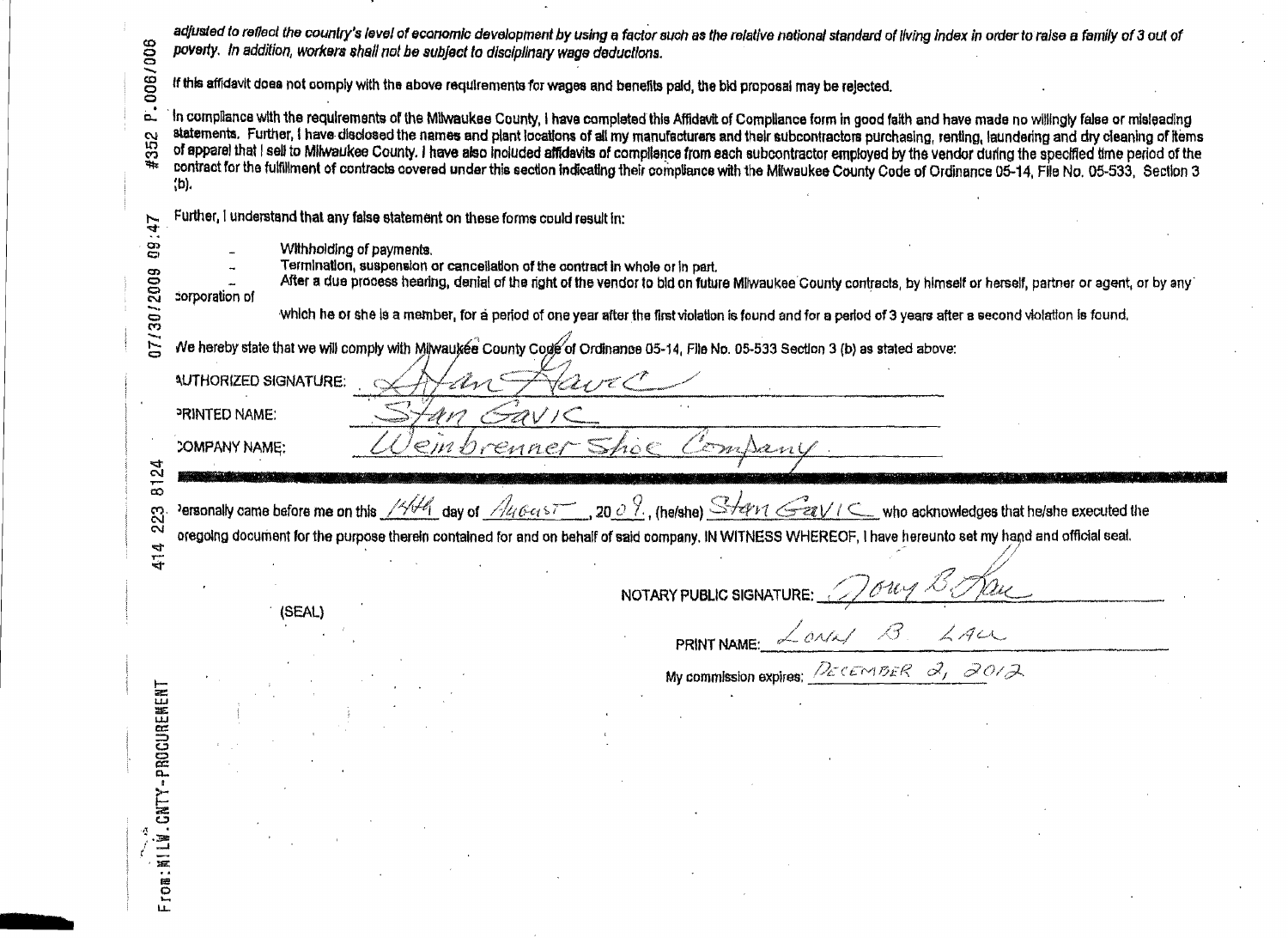|                          | poverty. In addition, workers shall not be subject to disciplinary wage deductions.                                        | adjusted to reflect the country's level of economic development by using a factor such as the relative national standard of living index in order to raise a family of 3 out of                                                                                                                                                                                                                                                                                                                                                                                                                                                                                                                                                      |
|--------------------------|----------------------------------------------------------------------------------------------------------------------------|--------------------------------------------------------------------------------------------------------------------------------------------------------------------------------------------------------------------------------------------------------------------------------------------------------------------------------------------------------------------------------------------------------------------------------------------------------------------------------------------------------------------------------------------------------------------------------------------------------------------------------------------------------------------------------------------------------------------------------------|
| 006/008                  |                                                                                                                            | If this affidavit does not comply with the above requirements for wages and benefits paid, the bid proposal may be rejected.                                                                                                                                                                                                                                                                                                                                                                                                                                                                                                                                                                                                         |
| ö.,<br>352               | (b).                                                                                                                       | In compliance with the requirements of the Milwaukee County, I have completed this Affidavit of Compliance form in good faith and have made no willingly false or misleading<br>statements. Further, I have disclosed the names and plant locations of all my manufacturers and their subcontractors purchasing, renting, laundering and dry cleaning of items<br>of apperel that I sell to Milwaukee County. I have also included affidavits of compliance from each subcontractor employed by the vendor during the specified time period of the<br>contract for the fulfillment of contracts covered under this section indicating their compliance with the Milwaukee County Code of Ordinance 05-14, File No. 05-533, Section 3 |
| 47                       | Further, I understand that any false statement on these forms could result in:                                             |                                                                                                                                                                                                                                                                                                                                                                                                                                                                                                                                                                                                                                                                                                                                      |
| 80<br>07/30/2009         | Withholding of payments.<br>Termination, suspension or cancellation of the contract in whole or in part.<br>corporation of | After a due process hearing, denial of the right of the vendor to bid on future Milwaukee County contracts, by himself or herself, partner or agent, or by any<br>Which he or she is a member, for a period of one year after the first violation is found and for a period of 3 years after a second violation is found.                                                                                                                                                                                                                                                                                                                                                                                                            |
|                          |                                                                                                                            | Ne hereby state that we will comply with Milwaukee County Code of Ordinance 05-14, File No. 05-533 Section 3 (b) as stated above:                                                                                                                                                                                                                                                                                                                                                                                                                                                                                                                                                                                                    |
|                          | AUTHORIZED SIGNATURE:                                                                                                      | FraveC                                                                                                                                                                                                                                                                                                                                                                                                                                                                                                                                                                                                                                                                                                                               |
|                          | PRINTED NAME:                                                                                                              |                                                                                                                                                                                                                                                                                                                                                                                                                                                                                                                                                                                                                                                                                                                                      |
|                          | COMPANY NAME:                                                                                                              | einbrenner Shoe Company.                                                                                                                                                                                                                                                                                                                                                                                                                                                                                                                                                                                                                                                                                                             |
| 8124                     |                                                                                                                            |                                                                                                                                                                                                                                                                                                                                                                                                                                                                                                                                                                                                                                                                                                                                      |
| $\mathfrak{L}$<br>N<br>4 |                                                                                                                            | Personally came before me on this 1446 day of 146457 9009, (he/she) Start Gav IC who acknowledges that he/she executed the<br>oregoing document for the purpose therein contained for and on behalf of said company. IN WITNESS WHEREOF, I have hereunto set my hand and official seal.                                                                                                                                                                                                                                                                                                                                                                                                                                              |
| $\vec{r}$                |                                                                                                                            |                                                                                                                                                                                                                                                                                                                                                                                                                                                                                                                                                                                                                                                                                                                                      |
|                          | (SEAL)                                                                                                                     | NOTARY PUBLIC SIGNATURE: 1004 Bong<br>PRINT NAME: $\angle$ ONA/ B. LACL<br>My commission expires: DECEMBER 2, 2012                                                                                                                                                                                                                                                                                                                                                                                                                                                                                                                                                                                                                   |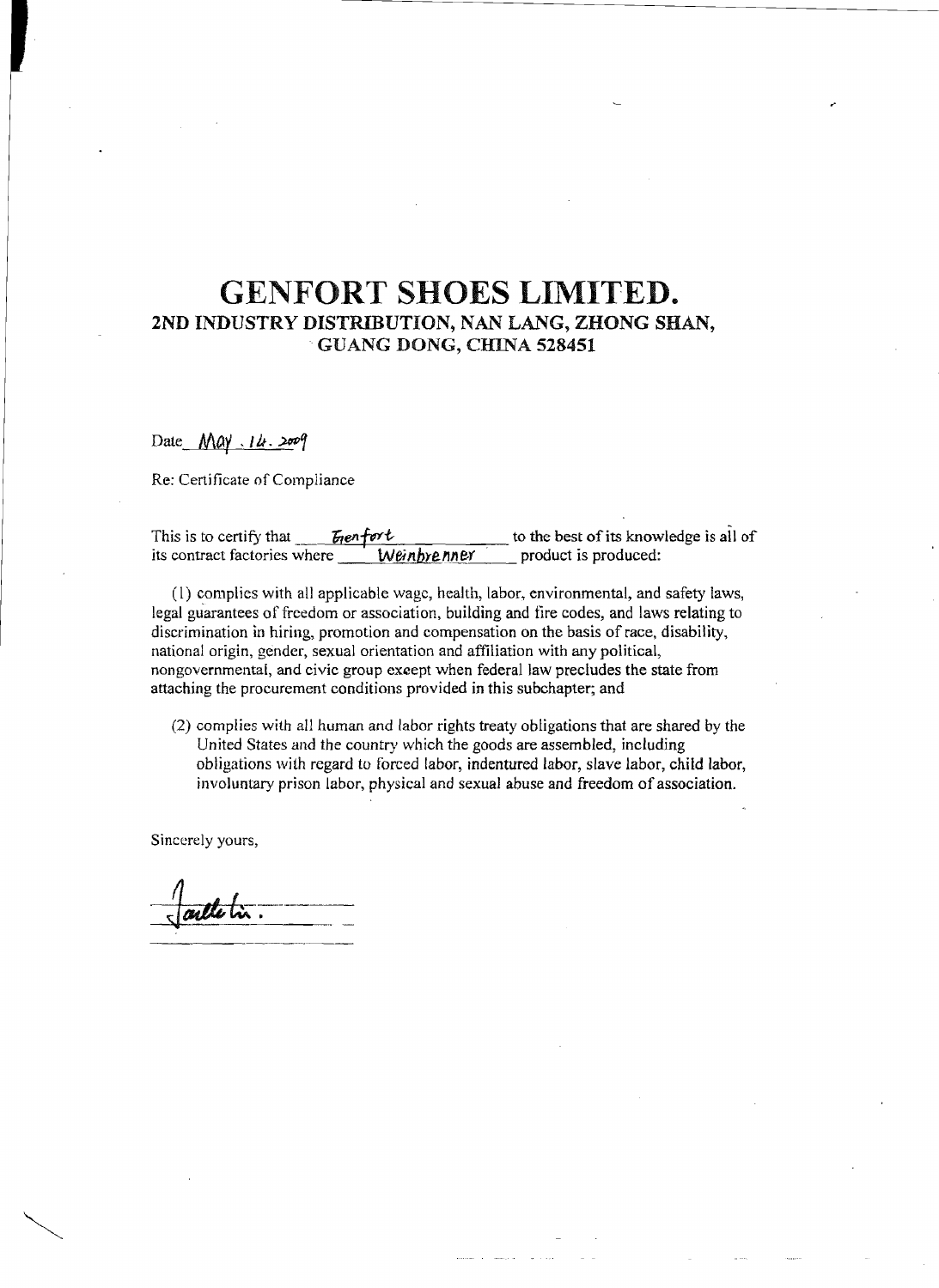# GENFORT SHOES LIMITED. 2ND INDUSTRY DISTRIBUTION, NAN LANG, ZHONG SHAN, . GUANG DONG, CHINA 528451

### Date *May 14.2009*

Re: Certificate of Compliance

| This is to certify that      | <i>Egenfort</i> | to the best of its knowledge is all of |
|------------------------------|-----------------|----------------------------------------|
| its contract factories where | Weinbrenner     | product is produced:                   |

(l) complies with all applicable wage, health, labor, environmental, and safety laws, legal guarantees of freedom or association, building and tire codes, and laws relating to discrimination in hiring, promotion and compensation on the basis of race, disability, national origin, gender, sexual orientation and affiliation with any political, nongovernmental, and civic group except when federal law precludes the state from attaching the procurement conditions provided in this subchapter; and

(2) complies with all human and labor rights treaty obligations that are shared by the United States and the country which the goods are assembled, including obligations with regard to forced labor, indentured labor, slave labor, child labor, involuntary prison labor, physical and sexual abuse and freedom of association.

Sincerely yours,

artletin.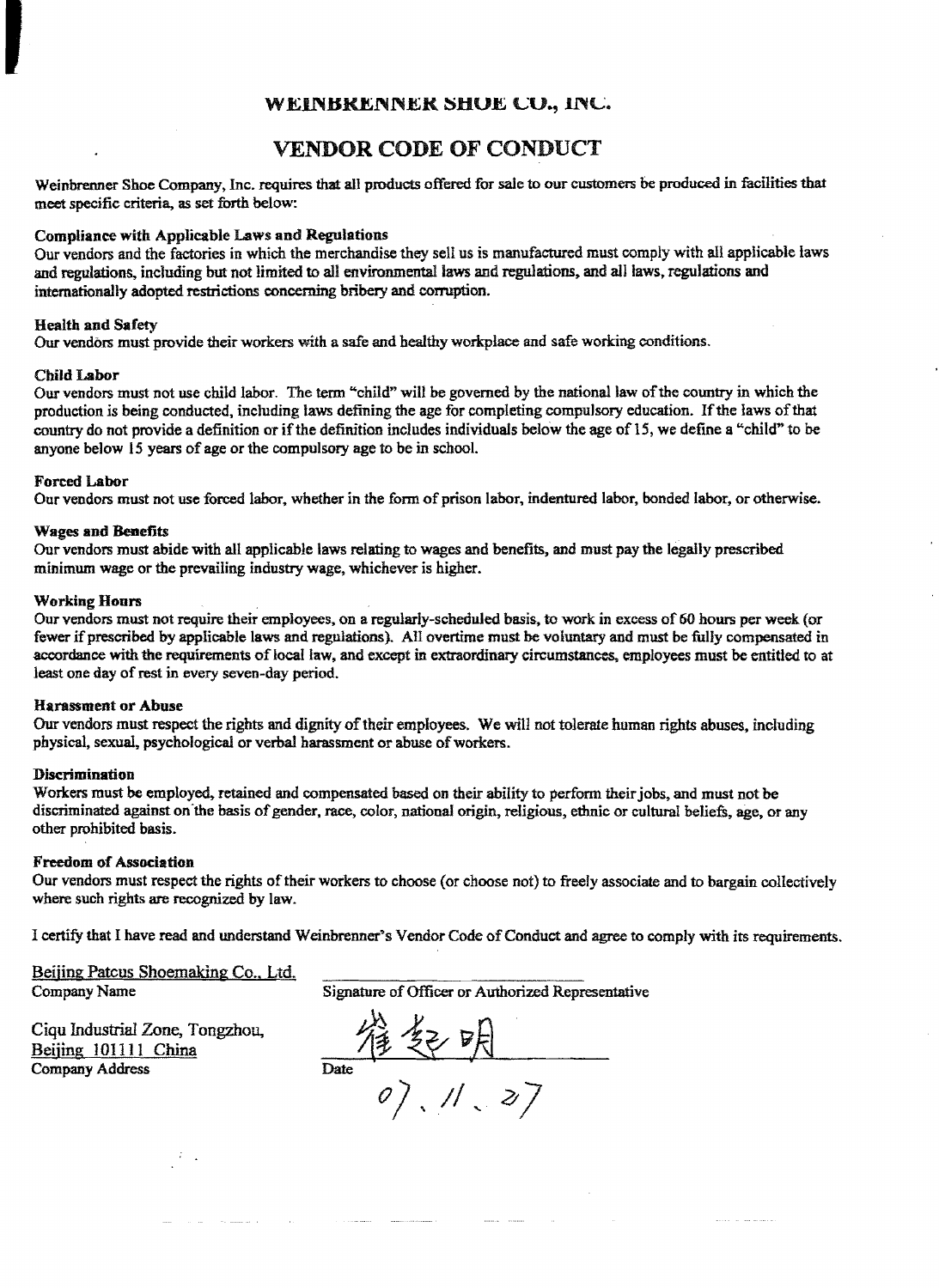## WEINBRENNER SHUE CU., INC.

## VENDOR CODE OF CONDUCT

Weinbrenner Shoe Company, Inc. requires that all products offered for sale to our customers be produced in facilities that meet specific criteria. as set forth below:

#### Compliance with Applicable Laws and Regulations

Our vendors and the factories in which the merchandise they sell us is manufactured must comply with all applicable laws and regulations, including but not limited to all environmental laws and regulations, and all laws, regulations and internationally adopted restrictions concerning bribery and corruption.

### Health and Safety

Our vendors must provide their workers with a safe and healthy workplace and safe working conditions.

#### Child Labor

II<br>I Barat II

Our vendors must not use child labor. The term "child" will be governed by the national law ofthe country in which the production is being conducted, including laws defining the age for completing compulsory education. If the laws of that country do not provide a definition or ifthe definition includes individuals below the age of15, we define a "child" to be anyone below 15 years of age or the compulsory age to be in school.

#### Forced Labor

Our vendors must not use forced labor, whether in the form of prison labor, indentured labor, bonded labor, or otherwise.

#### Wages and Benefits

Our vendors must abide with ail applicable laws relating to wages and benefits, and must pay the legally prescribed minimum wage or the prevailing industry wage, whichever is higher.

#### Working Hours

OUT vendors must not require their employees. on a regularly-scheduled basis. to work in excess of 60 hours per week (or fewer if prescribed by applicable laws and regulations). All overtime must be voluntary and must be fully compensated in accordance with the requirements of local law, and except in extraordinary circumstances, employees must be entitled to at least one day of rest in every seven-day period.

#### Harassment or Abuse

Our vendors must respect the rights and dignity of their employees. We will not tolerate human rights abuses, including physical, sexual, psychological or verbal harassment or abuse of workers.

#### Discrimination

Workers must be employed, retained and compensated based on their ability to perform their jobs, and must not be discriminated against on the basis of gender, race, color, national origin, religious, ethnic or cultural beliefs, age, or any other prohibited basis.

#### Freedom of Association

Our vendors must respect the rights of their workers to choose (or choose not) to freely associate and to bargain collectively where such rights are recognized by law,

I certify that I have read and understand Weinbrenner's Vendor Code of Conduct and agree to comply with its requirements.

Beijing Pateus Shoemaking Co., Ltd.

Company Name Signature ofOfficer or Authorized Representative

Ciqu Industrial Zone, Tongzholl, Company Address Beijing 101111 China

 $\frac{1}{\text{Date}}$ *0*), 11, 27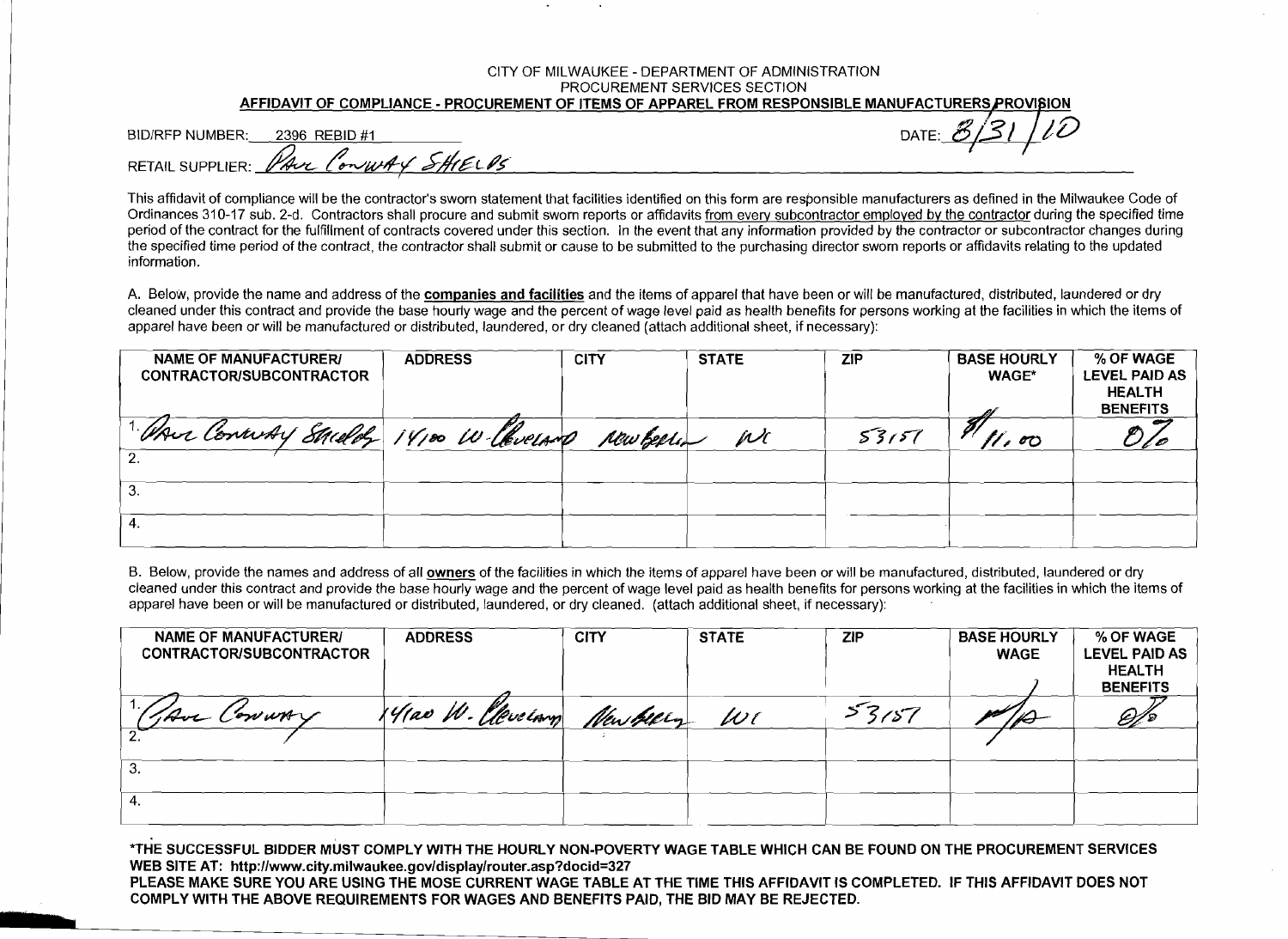#### CITY OF MILWAUKEE - DEPARTMENT OF ADMINISTRATION PROCUREMENT SERVICES SECTION AFFIDAVIT OF COMPLIANCE - PROCUREMENT OF ITEMS OF APPAREL FROM RESPONSIBLE MANUFACTURERS PROVISION

BID/RFP NUMBER: 2396 REBID #1

DATE:  $\mathcal{B}_{\ell}$ 

PAUL CONWAY SHIELDS **RETAIL SUPPLIFR:** 

This affidavit of compliance will be the contractor's sworn statement that facilities identified on this form are responsible manufacturers as defined in the Milwaukee Code of Ordinances 310-17 sub. 2-d. Contractors shall procure and submit sworn reports or affidavits from every subcontractor employed by the contractor during the specified time period of the contract for the fulfillment of contracts covered under this section. In the event that any information provided by the contractor or subcontractor changes during the specified time period of the contract, the contractor shall submit or cause to be submitted to the purchasing director swom reports or affidavits relating to the updated information.

A. Below, provide the name and address of the companies and facilities and the items of apparel that have been or will be manufactured, distributed, laundered or dry cleaned under this contract and provide the base hourly wage and the percent of wage level paid as health benefits for persons working at the facilities in which the items of apparel have been or will be manufactured or distributed. laundered, or dry cleaned (attach additional sheet, if necessary):

| User Conway Sacelog 14100 W Chueland<br>New Beeling<br>53157<br>WC<br>$\mathscr{U}$ ro<br>ა. | <b>NAME OF MANUFACTURER/</b><br>CONTRACTOR/SUBCONTRACTOR | <b>ADDRESS</b> | <b>CITY</b> | <b>STATE</b> | <b>ZIP</b> | <b>BASE HOURLY</b><br><b>WAGE*</b> | % OF WAGE<br>LEVEL PAID AS<br><b>HEALTH</b><br><b>BENEFITS</b> |
|----------------------------------------------------------------------------------------------|----------------------------------------------------------|----------------|-------------|--------------|------------|------------------------------------|----------------------------------------------------------------|
|                                                                                              |                                                          |                |             |              |            |                                    |                                                                |
| 4.                                                                                           |                                                          |                |             |              |            |                                    |                                                                |

B. Below, provide the names and address of all owners of the facilities in which the items of apparel have been or will be manufactured, distributed, laundered or dry cleaned under this contract and provide the base hourly wage and the percent of wage level paid as health benefits for persons working at the facilities in which the items of apparel have been or will be manufactured or distributed, laundered, or dry cleaned. (attach additional sheet, if necessary):

| <b>NAME OF MANUFACTURERI</b><br><b>CONTRACTOR/SUBCONTRACTOR</b> | <b>ADDRESS</b>                  | <b>CITY</b> | <b>STATE</b> | <b>ZIP</b> | <b>BASE HOURLY</b><br><b>WAGE</b> | % OF WAGE<br><b>LEVEL PAID AS</b><br><b>HEALTH</b><br><b>BENEFITS</b> |
|-----------------------------------------------------------------|---------------------------------|-------------|--------------|------------|-----------------------------------|-----------------------------------------------------------------------|
| "JAVE CONWAY                                                    | 14100 W. Clevelong New Geery WI |             |              | 53157      | $\mathbb Z$                       |                                                                       |
|                                                                 |                                 |             |              |            |                                   |                                                                       |
| З.                                                              |                                 |             |              |            |                                   |                                                                       |
|                                                                 |                                 |             |              |            |                                   |                                                                       |

\*THE SUCCESSFUL BIDDER MUST COMPLY WITH THE HOURLY NON-POVERTY WAGE TABLE WHICH CAN BE FOUND ON THE PROCUREMENT SERVICES WEB SITE AT: http://www.city.milwaukee.gov/display/router.asp?docid=327 PLEASE MAKE SURE YOU ARE USING THE MOSE CURRENT WAGE TABLE AT THE TIME THIS AFFIDAVIT IS COMPLETED. IF THIS AFFIDAVIT DOES NOT COMPLY WITH THE ABOVE REQUIREMENTS FOR WAGES AND BENEFITS PAID. THE BID MAY BE REJECTED.